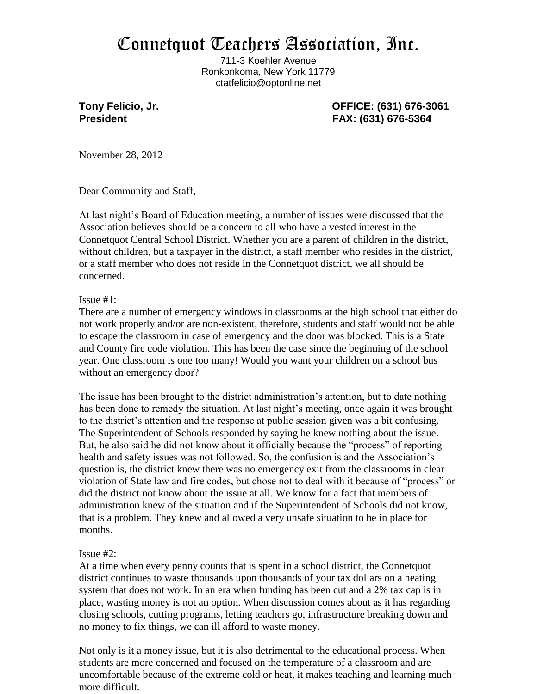## Connetquot Teachers Association, Inc.

711-3 Koehler Avenue Ronkonkoma, New York 11779 ctatfelicio@optonline.net

**Tony Felicio, Jr. OFFICE: (631) 676-3061 President FAX: (631) 676-5364**

November 28, 2012

Dear Community and Staff,

At last night's Board of Education meeting, a number of issues were discussed that the Association believes should be a concern to all who have a vested interest in the Connetquot Central School District. Whether you are a parent of children in the district, without children, but a taxpayer in the district, a staff member who resides in the district, or a staff member who does not reside in the Connetquot district, we all should be concerned.

Issue #1:

There are a number of emergency windows in classrooms at the high school that either do not work properly and/or are non-existent, therefore, students and staff would not be able to escape the classroom in case of emergency and the door was blocked. This is a State and County fire code violation. This has been the case since the beginning of the school year. One classroom is one too many! Would you want your children on a school bus without an emergency door?

The issue has been brought to the district administration's attention, but to date nothing has been done to remedy the situation. At last night's meeting, once again it was brought to the district's attention and the response at public session given was a bit confusing. The Superintendent of Schools responded by saying he knew nothing about the issue. But, he also said he did not know about it officially because the "process" of reporting health and safety issues was not followed. So, the confusion is and the Association's question is, the district knew there was no emergency exit from the classrooms in clear violation of State law and fire codes, but chose not to deal with it because of "process" or did the district not know about the issue at all. We know for a fact that members of administration knew of the situation and if the Superintendent of Schools did not know, that is a problem. They knew and allowed a very unsafe situation to be in place for months.

## Issue #2:

At a time when every penny counts that is spent in a school district, the Connetquot district continues to waste thousands upon thousands of your tax dollars on a heating system that does not work. In an era when funding has been cut and a 2% tax cap is in place, wasting money is not an option. When discussion comes about as it has regarding closing schools, cutting programs, letting teachers go, infrastructure breaking down and no money to fix things, we can ill afford to waste money.

Not only is it a money issue, but it is also detrimental to the educational process. When students are more concerned and focused on the temperature of a classroom and are uncomfortable because of the extreme cold or heat, it makes teaching and learning much more difficult.